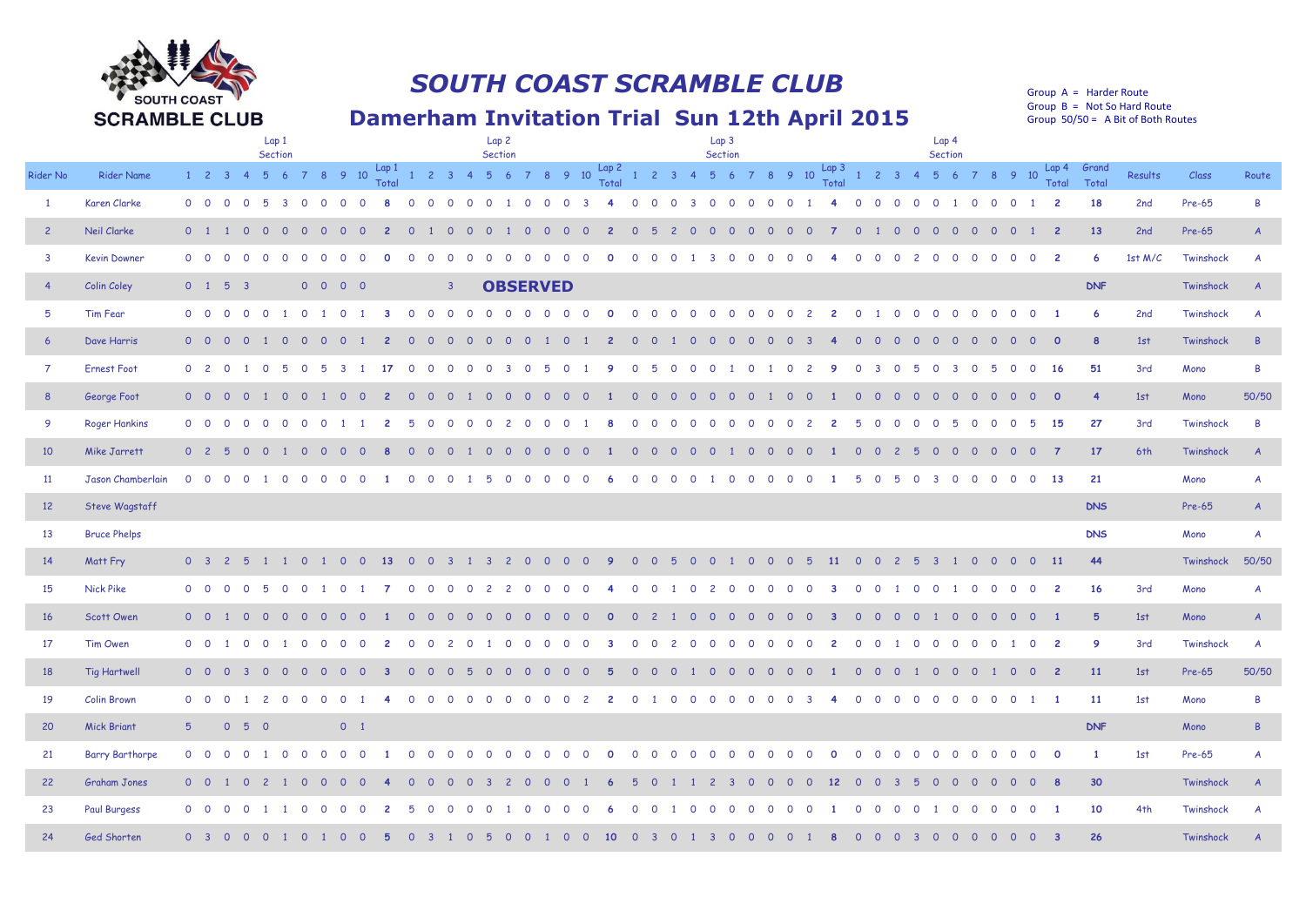

## *SOUTH COAST SCRAMBLE CLUB*

## **Damerham Invitation Trial Sun 12th April 2015**

Group A = Harder Route Group B = Not So Hard Route Group 50/50 = A Bit of Both Routes

|                         |                        | Lap 1<br><b>Section</b>                                      |                                                                                                                                      | Lap 2<br>Section                                                         | Lap 3<br>Section                                                                                                                             | Lap 4<br>Section                                                                                                                                             |                                                 |
|-------------------------|------------------------|--------------------------------------------------------------|--------------------------------------------------------------------------------------------------------------------------------------|--------------------------------------------------------------------------|----------------------------------------------------------------------------------------------------------------------------------------------|--------------------------------------------------------------------------------------------------------------------------------------------------------------|-------------------------------------------------|
| Rider No                | <b>Rider Name</b>      | $1 \quad 2 \quad 3$<br>5 6                                   |                                                                                                                                      |                                                                          |                                                                                                                                              |                                                                                                                                                              | Results<br>Class<br>Route                       |
| $\overline{1}$          | Karen Clarke           | $0\quad 0$<br>-5<br>$\Omega$                                 | $\overline{\mathbf{3}}$<br>$\Omega$<br>$\Omega$<br>$\Omega$<br>$\Omega$<br>$\overline{\mathbf{0}}$<br>$\Omega$<br>$\circ$<br>$\circ$ | $\circ$<br>$\circ$<br>$\circ$                                            | $\circ$<br>$\circ$<br>$\circ$<br>$\mathbf{3}$<br>$\overline{\mathbf{0}}$<br>$\circ$<br>$\circ$<br>$\mathbf{O}$<br>$\circ$                    | $\circ$<br>$\overline{2}$<br>$\circ$<br>$\circ$<br>$\overline{0}$<br>$\circ$<br>$\circ$<br>$\circ$<br>$\overline{1}$<br>$\Omega$<br>$\blacksquare$           | 18<br>Pre-65<br>B<br>2nd                        |
| $\overline{2}$          | Neil Clarke            | 0 <sub>1</sub>                                               |                                                                                                                                      |                                                                          |                                                                                                                                              | $\overline{2}$<br>$\Omega$<br>$\circ$<br>$\Omega$<br>$\circ$<br>$\circ$<br>$\circ$                                                                           | 13<br>2nd<br>Pre-65<br>$\overline{A}$           |
| $\overline{\mathbf{3}}$ | <b>Kevin Downer</b>    | $0\quad 0$<br>$\cap$<br>$\Omega$<br>$\Omega$                 | $\Omega$<br>$\Omega$<br>$\Omega$<br>$\Omega$<br>$\Omega$<br>$\Omega$<br>$\Omega$<br>$\Omega$<br>$\cap$<br>- റ                        | $\Omega$<br>$\cap$<br>$\Omega$<br>- റ<br>- 0<br>$\Omega$                 | $\Omega$<br>$\Omega$<br>$\Omega$<br>$\Omega$<br>$\Omega$<br>$\Omega$<br>$\cap$<br>્ર<br>$\cap$                                               | $\Omega$<br>$\overline{0}$<br>$\overline{\phantom{0}}$<br>$\Omega$<br>$\Omega$<br>$\Omega$<br>$\Omega$<br>$\Omega$<br>$\Omega$<br>$\Omega$<br>$\overline{2}$ | 1st $M/C$<br>Twinshock<br>6<br>A                |
|                         | Colin Coley            | $0 \quad 1 \quad 5$<br>$\overline{\mathbf{3}}$               | $0\quad 0\quad 0\quad 0$<br>$\mathbf{3}$                                                                                             | <b>OBSERVED</b>                                                          |                                                                                                                                              |                                                                                                                                                              | <b>DNF</b><br>Twinshock                         |
| 5                       | Tim Fear               | $0\quad 0$<br>$\Omega$                                       | $\Omega$<br>$\Omega$                                                                                                                 | - 0                                                                      | $\Omega$<br>$\overline{c}$<br>$\mathbf{2}$<br>$\Omega$<br>$\circ$                                                                            | $\overline{1}$<br>$\circ$<br>$\Omega$<br>$\Omega$<br>$\circ$<br>- റ                                                                                          | 6<br>2nd<br>Twinshock<br>A                      |
| $6\overline{6}$         | Dave Harris            | $0\quad 0$<br>$\overline{0}$<br>$\circ$                      | $\overline{0}$<br>$\circ$<br>$\overline{\mathbf{0}}$<br><sup>O</sup><br>- 0<br>- 0<br>0<br>- 0                                       | $\circ$<br>$\circ$<br>-0<br>0                                            | $\Omega$<br>$\Omega$<br>$\circ$<br>$\overline{0}$<br>$\Omega$<br>- റ<br>$\Omega$<br>- 0                                                      | $\mathbf{0}$<br>$\Omega$<br>$\circ$<br>$\overline{0}$<br>- 0<br>$\Omega$<br><u>_റ</u><br>$\circ$<br>$\Omega$<br>$\overline{0}$<br>0                          | 8<br>1st<br>Twinshock<br>$\overline{R}$         |
| $\overline{7}$          | <b>Ernest Foot</b>     | 0 <sub>2</sub><br>$\overline{\mathbf{0}}$<br>$\circ$         |                                                                                                                                      |                                                                          | $\Omega$                                                                                                                                     | 16<br>$\Omega$<br>$\circ$<br>$\circ$<br>-3<br>$\Omega$<br>$\circ$<br>-3                                                                                      | 51<br>3rd<br>B<br>Mono                          |
| 8                       | George Foot            | $0\quad 0\quad 0$<br>$\circ$<br>$\mathbf{1}$                 | $\overline{0}$<br>$\overline{0}$<br>1 0<br>. റ<br>$\Omega$<br>0                                                                      | $\Omega$<br>$\Omega$<br>ി റ<br>- വ<br>$\Omega$<br>- റ                    | $\Omega$<br>$\Omega$<br>$\Omega$<br>$\Omega$<br>ി റ<br>- 0<br>$\Omega$<br>$\Omega$<br>- 0                                                    | $\Omega$<br>$\overline{\mathbf{0}}$<br>$\circ$<br>ി റ<br>- 0<br>$\overline{0}$<br>$\overline{0}$<br>$\Omega$<br><u>റ</u><br>n n                              | $\overline{4}$<br>50/50<br>1st<br>Mono          |
| $\overline{9}$          | <b>Roger Hankins</b>   | $0\quad 0$<br>$\overline{\mathbf{0}}$<br>$\Omega$<br>$\circ$ | $\Omega$<br>$\Omega$<br>$\Omega$<br>$\Omega$<br>$\Omega$<br>$\overline{2}$<br>-5<br>$\circ$                                          | $\Omega$<br>$\Omega$<br>$\overline{\phantom{0}}$<br>$\Omega$<br>$\Omega$ | $\Omega$<br>$\Omega$<br>$\Omega$<br>$\Omega$<br>$\Omega$<br>$\Omega$<br>$\Omega$<br>$\Omega$<br>$\Omega$<br>$\overline{2}$<br>$\overline{c}$ | 15<br>5<br>$\circ$<br>$\overline{0}$<br>$\Omega$<br>$\overline{0}$<br>5<br>$\Omega$<br>0 <sub>5</sub><br>$\Omega$                                            | 27<br>3rd<br>$\overline{B}$<br>Twinshock        |
| 10                      | Mike Jarrett           | 0 <sub>2</sub><br>$\Omega$<br>$\Omega$                       | $\Omega$<br>$\Omega$<br>$\Omega$<br>- 0                                                                                              | $\Omega$<br>$\overline{0}$<br>$\circ$<br>$\overline{0}$<br>$\Omega$      | $\Omega$<br>$\overline{0}$<br>$\overline{0}$<br>$\overline{0}$<br>$\overline{\mathbf{0}}$<br>$\circ$<br>$\overline{0}$<br>$\overline{0}$     | $\overline{7}$<br>$\Omega$<br>$\circ$<br>$\overline{0}$                                                                                                      | 17<br>6th<br>Twinshock<br>$\overline{A}$        |
| 11                      | Jason Chamberlain      | $0\quad 0$                                                   | $\Omega$                                                                                                                             | $\Omega$<br>$\cap$<br>$\Omega$<br>-6                                     | $\Omega$<br>$\Omega$<br>$\Omega$<br>$\cap$<br>$\Omega$<br>$\Omega$<br>$\circ$<br>$\Omega$<br>$\Omega$                                        | 13<br>5<br>5<br>$\Omega$<br>$\Omega$<br>$\mathbf{3}$<br>$\circ$<br>$\Omega$<br>$\Omega$<br>$\Omega$<br>$\Omega$                                              | 21<br>Mono<br>$\overline{A}$                    |
| 12                      | Steve Wagstaff         |                                                              |                                                                                                                                      |                                                                          |                                                                                                                                              |                                                                                                                                                              | <b>DNS</b><br>Pre-65<br>$\overline{A}$          |
| 13                      | <b>Bruce Phelps</b>    |                                                              |                                                                                                                                      |                                                                          |                                                                                                                                              |                                                                                                                                                              | <b>DNS</b><br>Mono<br>$\mathcal{A}$             |
| 14                      | Matt Fry               | 0 <sup>3</sup>                                               | $\Omega$<br>-13                                                                                                                      |                                                                          | 11                                                                                                                                           | $\overline{11}$<br>$\overline{0}$<br>$\Omega$<br>$\Omega$<br>$\Omega$<br>$\overline{0}$<br>. റ                                                               | 44<br>50/50<br>Twinshock                        |
| 15                      | <b>Nick Pike</b>       | $0\quad 0$<br>$\circ$                                        | $\Omega$<br>$\Omega$                                                                                                                 | $\overline{c}$<br>$\Omega$                                               | $\circ$<br>$\overline{2}$<br>$\Omega$<br>$\Omega$                                                                                            | $\circ$<br>$\overline{\mathbf{c}}$<br>$\circ$<br>$\circ$<br>$\circ$<br>$\circ$<br>$\overline{\mathbf{0}}$                                                    | 16<br>3rd<br>Mono<br>$\overline{A}$             |
| 16                      | Scott Owen             | $0\quad 0$<br>0<br>$\Omega$                                  | $\Omega$<br>$\Omega$<br>$\Omega$                                                                                                     | $\Omega$<br>- 0<br>$\Omega$<br>- 0<br>- റ                                | $\Omega$<br>$\Omega$<br>$\Omega$<br>$\cap$<br>$\Omega$<br>$\Omega$<br>0<br>$\Omega$<br>-3                                                    | $\overline{0}$<br>$\circ$<br>$\overline{0}$<br>$\circ$<br>$\overline{\mathbf{0}}$<br>$\blacksquare$ 1<br>$\Omega$<br>$\Omega$<br>$\Omega$<br>$\overline{0}$  | 5 <sub>5</sub><br>1st<br>Mono<br>$\overline{A}$ |
| 17                      | Tim Owen               | $0\quad 0$<br>$\Omega$<br>$\Omega$                           | $\Omega$<br>$\Omega$<br>$\Omega$<br>- 0<br>$\Omega$<br>$\Omega$<br>$\mathcal{L}$<br>$\Omega$                                         | $\Omega$<br>- 0<br>- 0<br>$\Omega$<br>- C<br>-3                          | $\Omega$<br>$\Omega$<br>$\Omega$<br>$\Omega$<br>$\cap$<br>- 0<br>$\Omega$<br>$\overline{2}$<br>2<br>$\Omega$<br>$\Omega$                     | $\overline{2}$<br>$\Omega$<br>$\Omega$<br>$\Omega$<br>$\Omega$<br>$\Omega$<br>$\Omega$<br>$\circ$<br>$\overline{\mathbf{0}}$                                 | 9<br>3rd<br>Twinshock<br>$\overline{A}$         |
| 18                      | <b>Tig Hartwell</b>    | $0\quad 0$                                                   |                                                                                                                                      |                                                                          | $\overline{0}$<br>$\Omega$                                                                                                                   | $\circ$<br>$\circ$<br>$\overline{0}$<br>$\circ$<br>$\overline{0}$<br>$\circ$<br>$\circ$<br>$\overline{0}$<br>$\overline{c}$                                  | 11<br>50/50<br>1st<br>Pre-65                    |
| 19                      | <b>Colin Brown</b>     | $0\quad 0$<br>$\overline{2}$<br>$\circ$<br>$\overline{1}$    | $\Omega$<br>$\Omega$<br>$\Omega$<br>$\Omega$<br>$\cap$<br>$\Omega$<br>$\Omega$<br>$\cap$                                             | $\cap$<br>$\Omega$<br>$\Omega$<br>$\Omega$<br>$\cap$                     | $\Omega$<br>$\Omega$<br>$\Omega$<br>$\Omega$<br>$\Omega$<br>$\Omega$<br>$\Omega$<br>$\Omega$<br>$\mathbf{3}$<br>$\blacksquare$               | $\overline{0}$<br>$\Omega$<br>$\Omega$<br>$\Omega$<br>$\overline{0}$<br>$\overline{O}$<br>$\Omega$<br>$\Omega$<br>$0 \quad 1 \quad 1$                        | 11<br>1st<br>Mono<br><b>B</b>                   |
| 20                      | <b>Mick Briant</b>     | 5 <sup>1</sup><br>0 5 0                                      | $0 \quad 1$                                                                                                                          |                                                                          |                                                                                                                                              |                                                                                                                                                              | <b>DNF</b><br>Mono<br>$\overline{B}$            |
| 21                      | <b>Barry Barthorpe</b> | $0\quad 0$                                                   | $\Omega$<br>$\Omega$<br>$\circ$<br>$\Omega$<br>$\Omega$<br>- 0<br>- റ                                                                | - റ<br>$\Omega$<br>$\Omega$<br>$\Omega$<br>- റ<br>- 0                    | $\Omega$<br>$\circ$<br>$\Omega$<br>$\Omega$<br>$\overline{0}$<br>$\circ$<br>- 0<br>$\Omega$<br>$\cap$<br>$\circ$<br>$\circ$                  | $\mathbf{o}$<br>$\Omega$<br>$\Omega$<br>$\Omega$<br>- 0<br>$\circ$<br>$\circ$<br>$\circ$<br>$\Omega$<br>$\circ$                                              | $\mathbf{1}$<br>Pre-65<br>1st<br>A              |
| 22                      | <b>Graham Jones</b>    | $0\quad 0$<br>$\overline{c}$<br>$\Omega$                     | $\blacksquare$<br>- റ<br>$\Omega$<br>- 0<br>$\Omega$<br>$\Omega$<br>$\Omega$<br>- 0                                                  | $\Omega$<br>$\Omega$<br>-6                                               | 12<br>5<br>$\circ$<br>$\overline{c}$<br>$\circ$<br>$\overline{0}$<br>$\overline{0}$<br>$\overline{0}$<br>-3                                  | 8<br>$\overline{0}$<br>$\circ$<br>$\overline{\mathbf{3}}$<br>$\circ$<br>$\overline{0}$<br>$\circ$<br>$\Omega$<br>$\overline{0}$<br>-5<br>$\Omega$            | 30 <sub>o</sub><br>Twinshock<br>$\overline{A}$  |
| 23                      | Paul Burgess           | $0\quad 0$                                                   |                                                                                                                                      |                                                                          |                                                                                                                                              | $\Omega$<br>$\circ$<br>- 0<br>$\circ$<br>$\circ$                                                                                                             | 10<br>4th<br>Twinshock                          |
| 24                      | Ged Shorten            | 0 <sup>3</sup>                                               | $\Omega$<br>$\Omega$                                                                                                                 | 10                                                                       |                                                                                                                                              | $\overline{\mathbf{3}}$<br>$\Omega$<br>$\Omega$<br>$\Omega$<br>$\Omega$<br>$\Omega$<br>$\Omega$<br>-3<br>$\Omega$                                            | 26<br>Twinshock                                 |